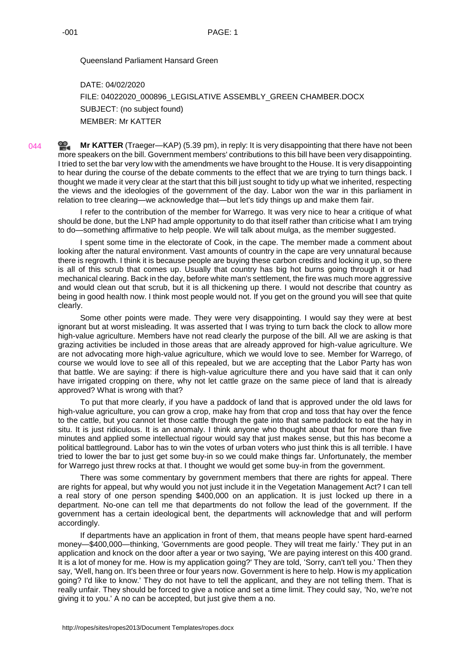Queensland Parliament Hansard Green

DATE: 04/02/2020 FILE: 04022020\_000896\_LEGISLATIVE ASSEMBLY\_GREEN CHAMBER.DOCX SUBJECT: (no subject found) MEMBER: Mr KATTER

**Mr [KATTER](http://www.parliament.qld.gov.au/docs/find.aspx?id=0Mba20200204_173938)** (Traeger—KAP) (5.39 pm), in reply: It is very disappointing that there have not been 044 ≌. more speakers on the bill. Government members' contributions to this bill have been very disappointing. I tried to set the bar very low with the amendments we have brought to the House. It is very disappointing to hear during the course of the debate comments to the effect that we are trying to turn things back. I thought we made it very clear at the start that this bill just sought to tidy up what we inherited, respecting the views and the ideologies of the government of the day. Labor won the war in this parliament in relation to tree clearing—we acknowledge that—but let's tidy things up and make them fair.

I refer to the contribution of the member for Warrego. It was very nice to hear a critique of what should be done, but the LNP had ample opportunity to do that itself rather than criticise what I am trying to do—something affirmative to help people. We will talk about mulga, as the member suggested.

I spent some time in the electorate of Cook, in the cape. The member made a comment about looking after the natural environment. Vast amounts of country in the cape are very unnatural because there is regrowth. I think it is because people are buying these carbon credits and locking it up, so there is all of this scrub that comes up. Usually that country has big hot burns going through it or had mechanical clearing. Back in the day, before white man's settlement, the fire was much more aggressive and would clean out that scrub, but it is all thickening up there. I would not describe that country as being in good health now. I think most people would not. If you get on the ground you will see that quite clearly.

Some other points were made. They were very disappointing. I would say they were at best ignorant but at worst misleading. It was asserted that I was trying to turn back the clock to allow more high-value agriculture. Members have not read clearly the purpose of the bill. All we are asking is that grazing activities be included in those areas that are already approved for high-value agriculture. We are not advocating more high-value agriculture, which we would love to see. Member for Warrego, of course we would love to see all of this repealed, but we are accepting that the Labor Party has won that battle. We are saying: if there is high-value agriculture there and you have said that it can only have irrigated cropping on there, why not let cattle graze on the same piece of land that is already approved? What is wrong with that?

To put that more clearly, if you have a paddock of land that is approved under the old laws for high-value agriculture, you can grow a crop, make hay from that crop and toss that hay over the fence to the cattle, but you cannot let those cattle through the gate into that same paddock to eat the hay in situ. It is just ridiculous. It is an anomaly. I think anyone who thought about that for more than five minutes and applied some intellectual rigour would say that just makes sense, but this has become a political battleground. Labor has to win the votes of urban voters who just think this is all terrible. I have tried to lower the bar to just get some buy-in so we could make things far. Unfortunately, the member for Warrego just threw rocks at that. I thought we would get some buy-in from the government.

There was some commentary by government members that there are rights for appeal. There are rights for appeal, but why would you not just include it in the Vegetation Management Act? I can tell a real story of one person spending \$400,000 on an application. It is just locked up there in a department. No-one can tell me that departments do not follow the lead of the government. If the government has a certain ideological bent, the departments will acknowledge that and will perform accordingly.

If departments have an application in front of them, that means people have spent hard-earned money—\$400,000—thinking, 'Governments are good people. They will treat me fairly.' They put in an application and knock on the door after a year or two saying, 'We are paying interest on this 400 grand. It is a lot of money for me. How is my application going?' They are told, 'Sorry, can't tell you.' Then they say, 'Well, hang on. It's been three or four years now. Government is here to help. How is my application going? I'd like to know.' They do not have to tell the applicant, and they are not telling them. That is really unfair. They should be forced to give a notice and set a time limit. They could say, 'No, we're not giving it to you.' A no can be accepted, but just give them a no.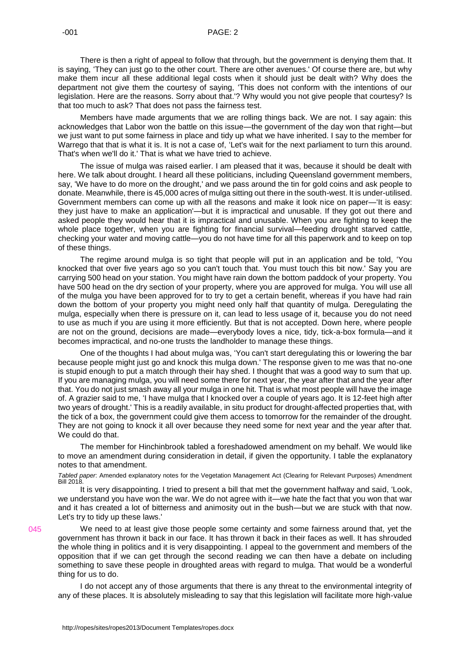There is then a right of appeal to follow that through, but the government is denying them that. It is saying, 'They can just go to the other court. There are other avenues.' Of course there are, but why make them incur all these additional legal costs when it should just be dealt with? Why does the department not give them the courtesy of saying, 'This does not conform with the intentions of our legislation. Here are the reasons. Sorry about that.'? Why would you not give people that courtesy? Is that too much to ask? That does not pass the fairness test.

Members have made arguments that we are rolling things back. We are not. I say again: this acknowledges that Labor won the battle on this issue—the government of the day won that right—but we just want to put some fairness in place and tidy up what we have inherited. I say to the member for Warrego that that is what it is. It is not a case of, 'Let's wait for the next parliament to turn this around. That's when we'll do it.' That is what we have tried to achieve.

The issue of mulga was raised earlier. I am pleased that it was, because it should be dealt with here. We talk about drought. I heard all these politicians, including Queensland government members, say, 'We have to do more on the drought,' and we pass around the tin for gold coins and ask people to donate. Meanwhile, there is 45,000 acres of mulga sitting out there in the south-west. It is under-utilised. Government members can come up with all the reasons and make it look nice on paper—'It is easy: they just have to make an application'—but it is impractical and unusable. If they got out there and asked people they would hear that it is impractical and unusable. When you are fighting to keep the whole place together, when you are fighting for financial survival—feeding drought starved cattle, checking your water and moving cattle—you do not have time for all this paperwork and to keep on top of these things.

The regime around mulga is so tight that people will put in an application and be told, 'You knocked that over five years ago so you can't touch that. You must touch this bit now.' Say you are carrying 500 head on your station. You might have rain down the bottom paddock of your property. You have 500 head on the dry section of your property, where you are approved for mulga. You will use all of the mulga you have been approved for to try to get a certain benefit, whereas if you have had rain down the bottom of your property you might need only half that quantity of mulga. Deregulating the mulga, especially when there is pressure on it, can lead to less usage of it, because you do not need to use as much if you are using it more efficiently. But that is not accepted. Down here, where people are not on the ground, decisions are made—everybody loves a nice, tidy, tick-a-box formula—and it becomes impractical, and no-one trusts the landholder to manage these things.

One of the thoughts I had about mulga was, 'You can't start deregulating this or lowering the bar because people might just go and knock this mulga down.' The response given to me was that no-one is stupid enough to put a match through their hay shed. I thought that was a good way to sum that up. If you are managing mulga, you will need some there for next year, the year after that and the year after that. You do not just smash away all your mulga in one hit. That is what most people will have the image of. A grazier said to me, 'I have mulga that I knocked over a couple of years ago. It is 12-feet high after two years of drought.' This is a readily available, in situ product for drought-affected properties that, with the tick of a box, the government could give them access to tomorrow for the remainder of the drought. They are not going to knock it all over because they need some for next year and the year after that. We could do that.

The member for Hinchinbrook tabled a foreshadowed amendment on my behalf. We would like to move an amendment during consideration in detail, if given the opportunity. I table the explanatory notes to that amendment.

*Tabled paper*: Amended explanatory notes for the Vegetation Management Act (Clearing for Relevant Purposes) Amendment **Bill 2018.** 

It is very disappointing. I tried to present a bill that met the government halfway and said, 'Look, we understand you have won the war. We do not agree with it—we hate the fact that you won that war and it has created a lot of bitterness and animosity out in the bush—but we are stuck with that now. Let's try to tidy up these laws.'

We need to at least give those people some certainty and some fairness around that, yet the government has thrown it back in our face. It has thrown it back in their faces as well. It has shrouded the whole thing in politics and it is very disappointing. I appeal to the government and members of the opposition that if we can get through the second reading we can then have a debate on including something to save these people in droughted areas with regard to mulga. That would be a wonderful thing for us to do.

I do not accept any of those arguments that there is any threat to the environmental integrity of any of these places. It is absolutely misleading to say that this legislation will facilitate more high-value

045